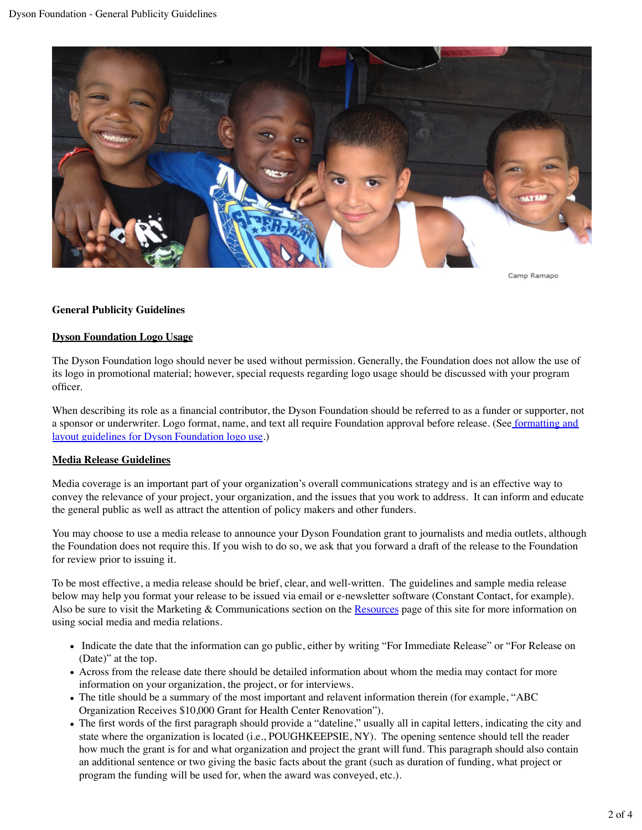

Camp Ramapo

## **General Publicity Guidelines**

### **Dyson Foundation Logo Usage**

The Dyson Foundation logo should never be used without permission. Generally, the Foundation does not allow the use of its logo in promotional material; however, special requests regarding logo usage should be discussed with your program officer.

When describing its role as a financial contributor, the Dyson Foundation should be referred to as a funder or supporter, not a sponsor or underwriter. Logo format, name, and text all require Foundation approval before release. (See formatting and layout guidelines for Dyson Foundation logo use.)

## **Media Release Guidelines**

Media coverage is an important part of your organization's overall communications strategy and is an effective way to convey the relevance of your project, your organization, and the issues that you work to address. It can inform and educate the general public as well as attract the attention of policy makers and other funders.

You may choose to use a media release to announce your Dyson Foundation grant to journalists and media outlets, although the Foundation does not require this. If you wish to do so, we ask that you forward a draft of the release to the Foundation for review prior to issuing it.

To be most effective, a media release should be brief, clear, and well-written. The guidelines and sample media release below may help you format your release to be issued via email or e-newsletter software (Constant Contact, for example). Also be sure to visit the Marketing & Communications section on the Resources page of this site for more information on using social media and media relations.

- Indicate the date that the information can go public, either by writing "For Immediate Release" or "For Release on (Date)" at the top.
- Across from the release date there should be detailed information about whom the media may contact for more information on your organization, the project, or for interviews.
- The title should be a summary of the most important and relavent information therein (for example, "ABC Organization Receives \$10,000 Grant for Health Center Renovation").
- The first words of the first paragraph should provide a "dateline," usually all in capital letters, indicating the city and state where the organization is located (i.e., POUGHKEEPSIE, NY). The opening sentence should tell the reader how much the grant is for and what organization and project the grant will fund. This paragraph should also contain an additional sentence or two giving the basic facts about the grant (such as duration of funding, what project or program the funding will be used for, when the award was conveyed, etc.).